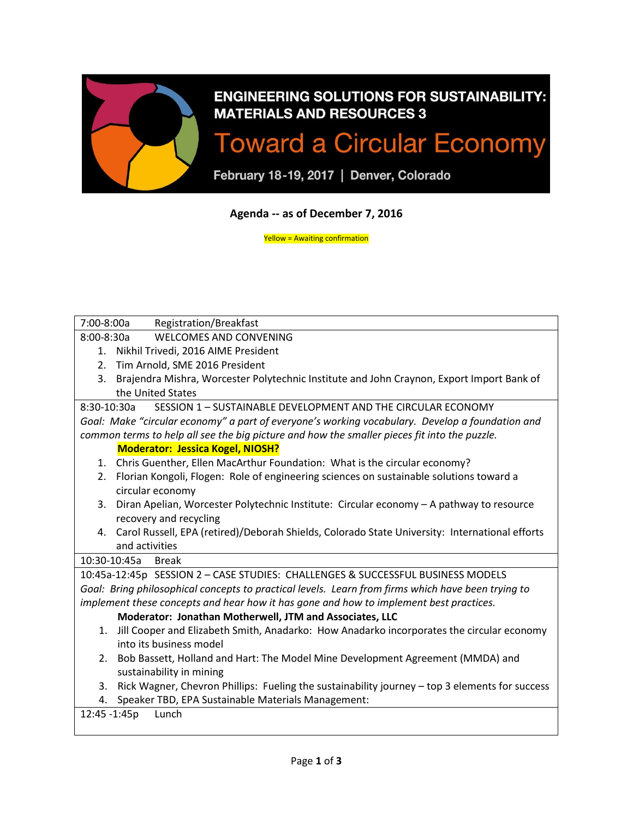

# **ENGINEERING SOLUTIONS FOR SUSTAINABILITY: MATERIALS AND RESOURCES 3**

# **Toward a Circular Economy**

February 18-19, 2017 | Denver, Colorado

## **Agenda -- as of December 7, 2016**

Yellow = Awaiting confirmation

| 7:00-8:00a<br>Registration/Breakfast                                                                 |  |
|------------------------------------------------------------------------------------------------------|--|
| <b>WELCOMES AND CONVENING</b><br>8:00-8:30a                                                          |  |
| Nikhil Trivedi, 2016 AIME President<br>1.                                                            |  |
| Tim Arnold, SME 2016 President<br>2.                                                                 |  |
| 3.<br>Brajendra Mishra, Worcester Polytechnic Institute and John Craynon, Export Import Bank of      |  |
| the United States                                                                                    |  |
| SESSION 1 - SUSTAINABLE DEVELOPMENT AND THE CIRCULAR ECONOMY<br>8:30-10:30a                          |  |
| Goal: Make "circular economy" a part of everyone's working vocabulary. Develop a foundation and      |  |
| common terms to help all see the big picture and how the smaller pieces fit into the puzzle.         |  |
| <b>Moderator: Jessica Kogel, NIOSH?</b>                                                              |  |
| Chris Guenther, Ellen MacArthur Foundation: What is the circular economy?<br>1.                      |  |
| Florian Kongoli, Flogen: Role of engineering sciences on sustainable solutions toward a<br>2.        |  |
| circular economy                                                                                     |  |
| Diran Apelian, Worcester Polytechnic Institute: Circular economy - A pathway to resource<br>3.       |  |
| recovery and recycling                                                                               |  |
| Carol Russell, EPA (retired)/Deborah Shields, Colorado State University: International efforts<br>4. |  |
| and activities                                                                                       |  |
| 10:30-10:45a<br><b>Break</b>                                                                         |  |
| 10:45a-12:45p SESSION 2 - CASE STUDIES: CHALLENGES & SUCCESSFUL BUSINESS MODELS                      |  |
| Goal: Bring philosophical concepts to practical levels. Learn from firms which have been trying to   |  |
| implement these concepts and hear how it has gone and how to implement best practices.               |  |
| Moderator: Jonathan Motherwell, JTM and Associates, LLC                                              |  |
| Jill Cooper and Elizabeth Smith, Anadarko: How Anadarko incorporates the circular economy<br>1.      |  |
| into its business model                                                                              |  |
| Bob Bassett, Holland and Hart: The Model Mine Development Agreement (MMDA) and<br>2.                 |  |
| sustainability in mining                                                                             |  |
| Rick Wagner, Chevron Phillips: Fueling the sustainability journey - top 3 elements for success<br>3. |  |
| Speaker TBD, EPA Sustainable Materials Management:<br>4.                                             |  |
| 12:45 -1:45p<br>Lunch                                                                                |  |
|                                                                                                      |  |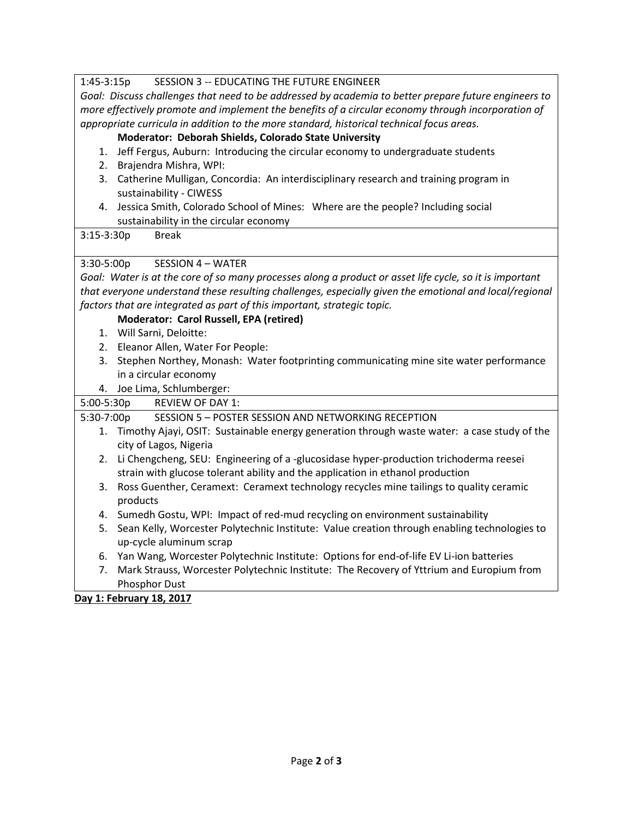#### 1:45-3:15p SESSION 3 -- EDUCATING THE FUTURE ENGINEER

*Goal: Discuss challenges that need to be addressed by academia to better prepare future engineers to more effectively promote and implement the benefits of a circular economy through incorporation of appropriate curricula in addition to the more standard, historical technical focus areas.*

#### **Moderator: Deborah Shields, Colorado State University**

- 1. Jeff Fergus, Auburn: Introducing the circular economy to undergraduate students
- 2. Brajendra Mishra, WPI:
- 3. Catherine Mulligan, Concordia: An interdisciplinary research and training program in sustainability - CIWESS
- 4. Jessica Smith, Colorado School of Mines: Where are the people? Including social sustainability in the circular economy

#### 3:15-3:30p Break

#### 3:30-5:00p SESSION 4 – WATER

*Goal: Water is at the core of so many processes along a product or asset life cycle, so it is important that everyone understand these resulting challenges, especially given the emotional and local/regional factors that are integrated as part of this important, strategic topic.*

#### **Moderator: Carol Russell, EPA (retired)**

- 1. Will Sarni, Deloitte:
- 2. Eleanor Allen, Water For People:
- 3. Stephen Northey, Monash: Water footprinting communicating mine site water performance in a circular economy
- 

| 4. Joe Lima, Schlumberger: |                                                                                              |
|----------------------------|----------------------------------------------------------------------------------------------|
| $5:00-5:30p$               | <b>REVIEW OF DAY 1:</b>                                                                      |
| 5:30-7:00p                 | SESSION 5 - POSTER SESSION AND NETWORKING RECEPTION                                          |
|                            | Timothy Ajayi, OSIT: Sustainable energy generation through waste water: a case study of the  |
|                            | city of Lagos, Nigeria                                                                       |
|                            | 2. Li Chengcheng, SEU: Engineering of a -glucosidase hyper-production trichoderma reesei     |
|                            | strain with glucose tolerant ability and the application in ethanol production               |
|                            | 3. Ross Guenther, Ceramext: Ceramext technology recycles mine tailings to quality ceramic    |
|                            | products                                                                                     |
|                            | 4. Sumedh Gostu, WPI: Impact of red-mud recycling on environment sustainability              |
| 5.                         | Sean Kelly, Worcester Polytechnic Institute: Value creation through enabling technologies to |
|                            | up-cycle aluminum scrap                                                                      |
| 6.                         | Yan Wang, Worcester Polytechnic Institute: Options for end-of-life EV Li-ion batteries       |
|                            | Mark Strauss, Worcester Polytechnic Institute: The Recovery of Yttrium and Europium from     |
|                            | Phosphor Dust                                                                                |

**Day 1: February 18, 2017**